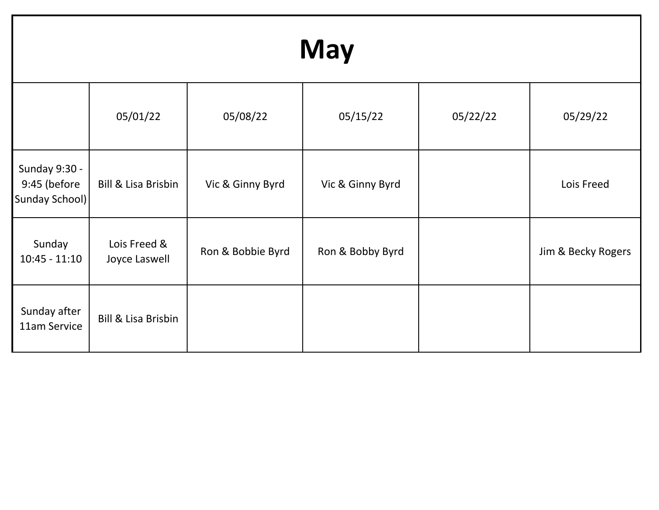| <b>May</b>                                      |                               |                   |                  |          |                    |
|-------------------------------------------------|-------------------------------|-------------------|------------------|----------|--------------------|
|                                                 | 05/01/22                      | 05/08/22          | 05/15/22         | 05/22/22 | 05/29/22           |
| Sunday 9:30 -<br>9:45 (before<br>Sunday School) | Bill & Lisa Brisbin           | Vic & Ginny Byrd  | Vic & Ginny Byrd |          | Lois Freed         |
| Sunday<br>$10:45 - 11:10$                       | Lois Freed &<br>Joyce Laswell | Ron & Bobbie Byrd | Ron & Bobby Byrd |          | Jim & Becky Rogers |
| Sunday after<br>11am Service                    | Bill & Lisa Brisbin           |                   |                  |          |                    |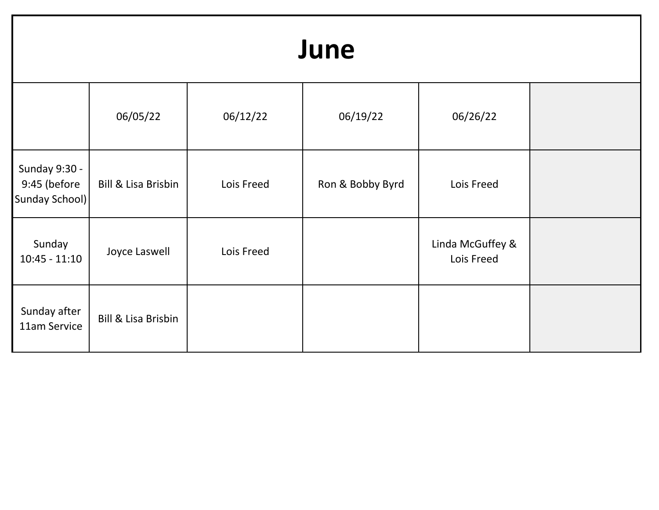## 06/05/22 06/12/22 06/19/22 06/26/22 Sunday 9:30 - 9:45 (before Sunday School) Bill & Lisa Brisbin | Lois Freed | Ron & Bobby Byrd | Lois Freed Sunday 10:45 - 11:10 Joyce Laswell Lois Freed Lois Freed Linda McGuffey & Lois Freed Sunday after Suriday after<br>11am Service | Bill & Lisa Brisbin **June**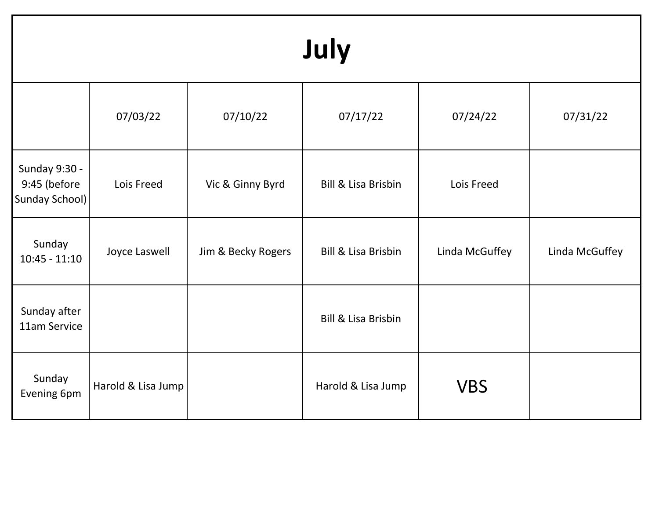| July                                                   |                    |                    |                                |                |                |
|--------------------------------------------------------|--------------------|--------------------|--------------------------------|----------------|----------------|
|                                                        | 07/03/22           | 07/10/22           | 07/17/22                       | 07/24/22       | 07/31/22       |
| <b>Sunday 9:30 -</b><br>9:45 (before<br>Sunday School) | Lois Freed         | Vic & Ginny Byrd   | <b>Bill &amp; Lisa Brisbin</b> | Lois Freed     |                |
| Sunday<br>$10:45 - 11:10$                              | Joyce Laswell      | Jim & Becky Rogers | <b>Bill &amp; Lisa Brisbin</b> | Linda McGuffey | Linda McGuffey |
| Sunday after<br>11am Service                           |                    |                    | <b>Bill &amp; Lisa Brisbin</b> |                |                |
| Sunday<br>Evening 6pm                                  | Harold & Lisa Jump |                    | Harold & Lisa Jump             | <b>VBS</b>     |                |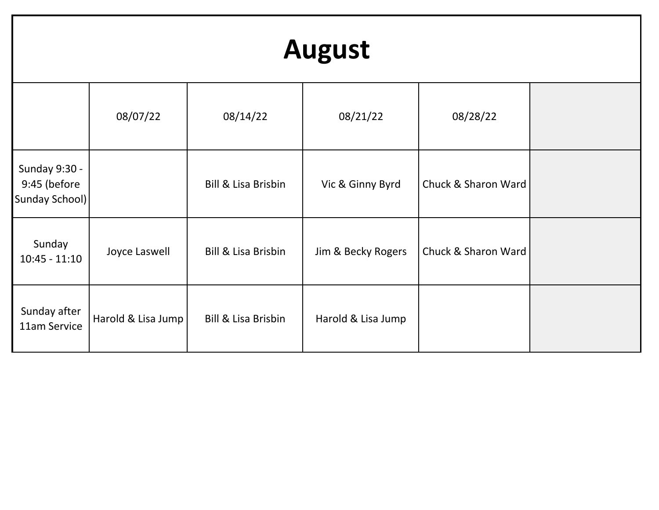| <b>August</b>                                          |                    |                                |                    |                     |  |
|--------------------------------------------------------|--------------------|--------------------------------|--------------------|---------------------|--|
|                                                        | 08/07/22           | 08/14/22                       | 08/21/22           | 08/28/22            |  |
| <b>Sunday 9:30 -</b><br>9:45 (before<br>Sunday School) |                    | <b>Bill &amp; Lisa Brisbin</b> | Vic & Ginny Byrd   | Chuck & Sharon Ward |  |
| Sunday<br>$10:45 - 11:10$                              | Joyce Laswell      | <b>Bill &amp; Lisa Brisbin</b> | Jim & Becky Rogers | Chuck & Sharon Ward |  |
| Sunday after<br>11am Service                           | Harold & Lisa Jump | <b>Bill &amp; Lisa Brisbin</b> | Harold & Lisa Jump |                     |  |